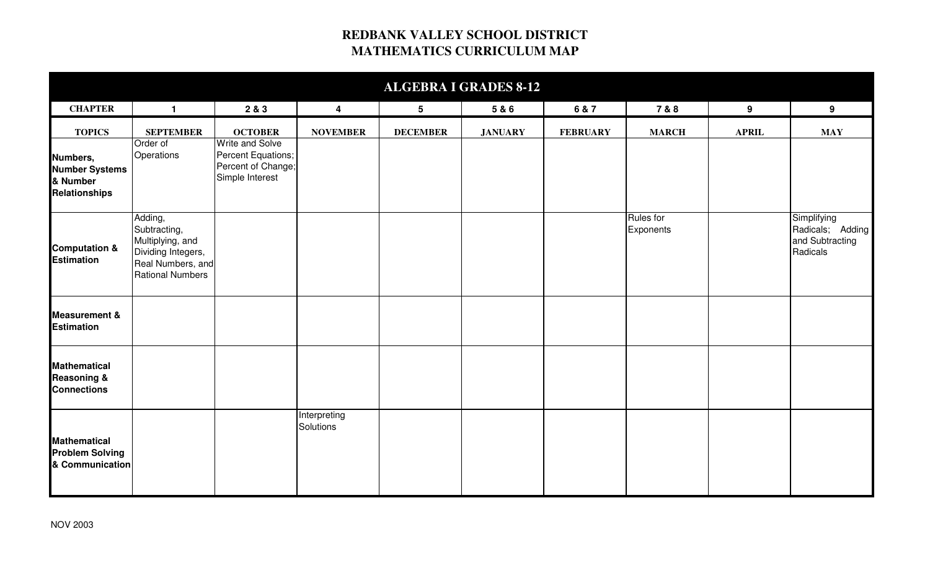## **REDBANK VALLEY SCHOOL DISTRICT MATHEMATICS CURRICULUM MAP**

| <b>ALGEBRA I GRADES 8-12</b>                                          |                                                                                                                   |                                                                                       |                           |                 |                |                 |                               |              |                                                                |  |  |
|-----------------------------------------------------------------------|-------------------------------------------------------------------------------------------------------------------|---------------------------------------------------------------------------------------|---------------------------|-----------------|----------------|-----------------|-------------------------------|--------------|----------------------------------------------------------------|--|--|
| <b>CHAPTER</b>                                                        | $\mathbf{1}$                                                                                                      | 2 & 3                                                                                 | $\overline{\mathbf{4}}$   | $5\phantom{.0}$ | 5 & 6          | 6 & 7           | 7 & 8                         | 9            | 9 <sup>1</sup>                                                 |  |  |
| <b>TOPICS</b>                                                         | <b>SEPTEMBER</b>                                                                                                  | <b>OCTOBER</b>                                                                        | <b>NOVEMBER</b>           | <b>DECEMBER</b> | <b>JANUARY</b> | <b>FEBRUARY</b> | <b>MARCH</b>                  | <b>APRIL</b> | <b>MAY</b>                                                     |  |  |
| Numbers,<br><b>Number Systems</b><br>& Number<br><b>Relationships</b> | Order of<br>Operations                                                                                            | <b>Write and Solve</b><br>Percent Equations;<br>Percent of Change;<br>Simple Interest |                           |                 |                |                 |                               |              |                                                                |  |  |
| <b>Computation &amp;</b><br><b>Estimation</b>                         | Adding,<br>Subtracting,<br>Multiplying, and<br>Dividing Integers,<br>Real Numbers, and<br><b>Rational Numbers</b> |                                                                                       |                           |                 |                |                 | <b>Rules</b> for<br>Exponents |              | Simplifying<br>Radicals; Adding<br>and Subtracting<br>Radicals |  |  |
| <b>Measurement &amp;</b><br><b>Estimation</b>                         |                                                                                                                   |                                                                                       |                           |                 |                |                 |                               |              |                                                                |  |  |
| <b>Mathematical</b><br><b>Reasoning &amp;</b><br><b>Connections</b>   |                                                                                                                   |                                                                                       |                           |                 |                |                 |                               |              |                                                                |  |  |
| <b>Mathematical</b><br><b>Problem Solving</b><br>& Communication      |                                                                                                                   |                                                                                       | Interpreting<br>Solutions |                 |                |                 |                               |              |                                                                |  |  |